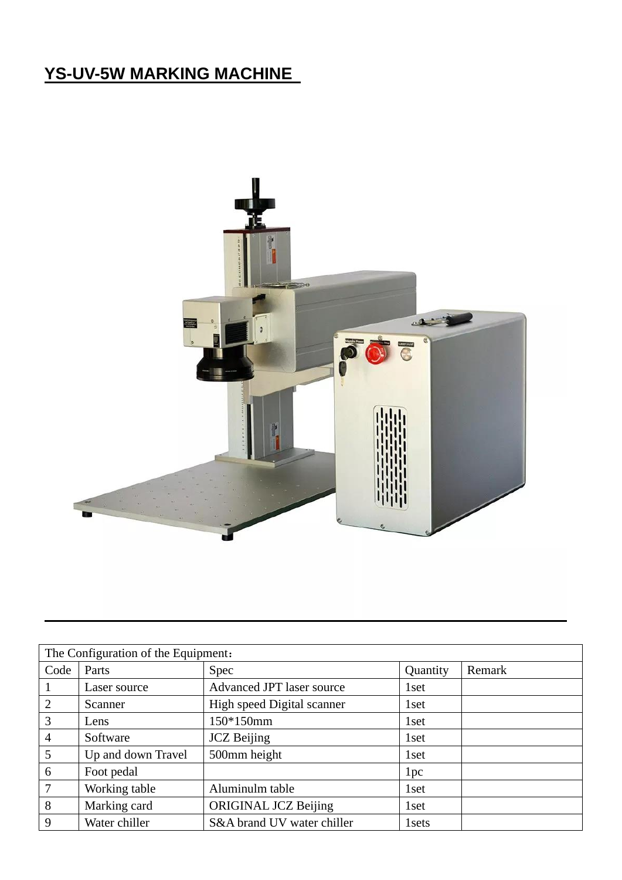### **YS-UV-5W MARKING MACHINE**



| The Configuration of the Equipment: |                    |                             |                  |        |
|-------------------------------------|--------------------|-----------------------------|------------------|--------|
| Code                                | Parts              | Spec                        | Quantity         | Remark |
| 1                                   | Laser source       | Advanced JPT laser source   | 1set             |        |
| 2                                   | Scanner            | High speed Digital scanner  | 1 set            |        |
| $\mathfrak{Z}$                      | Lens               | 150*150mm                   | 1 <sub>set</sub> |        |
| $\overline{4}$                      | Software           | <b>JCZ</b> Beijing          | 1 <sub>set</sub> |        |
| $5\overline{)}$                     | Up and down Travel | 500mm height                | 1 <sub>set</sub> |        |
| 6                                   | Foot pedal         |                             | 1pc              |        |
| $7\phantom{.0}$                     | Working table      | Aluminulm table             | 1 <sub>set</sub> |        |
| 8                                   | Marking card       | <b>ORIGINAL JCZ Beijing</b> | 1set             |        |
| 9                                   | Water chiller      | S&A brand UV water chiller  | 1 sets           |        |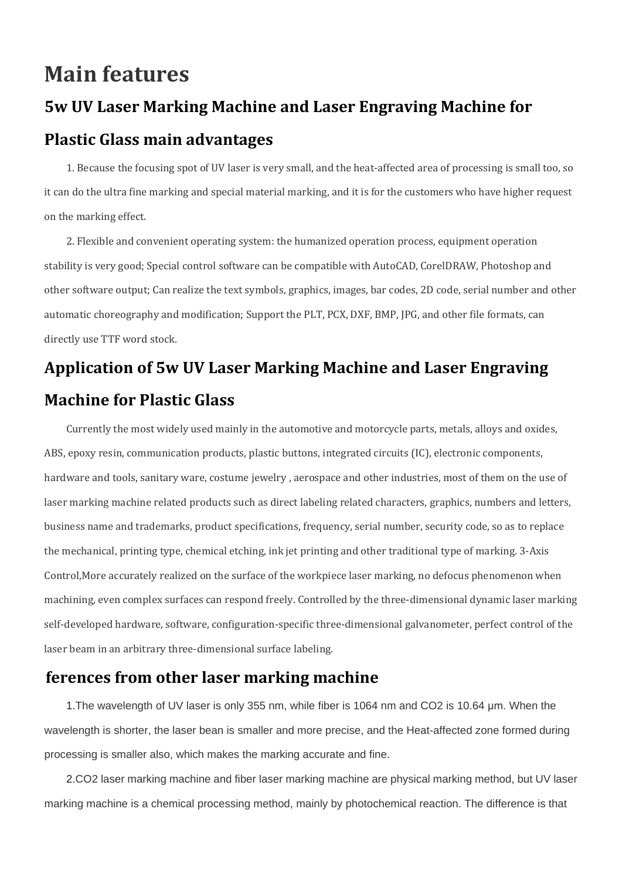### **Main features**

# **5w UV Laser Marking Machine and Laser Engraving Machine for Plastic Glass main advantages**

1. Because the focusing spot of UV laser is very small, and the heat-affected area of processing is small too, so it can do the ultra fine marking and special material marking, and it is for the customers who have higher request on the marking effect.

2. Flexible and convenient operating system: the humanized operation process, equipment operation stability is very good; Special control software can be compatible with AutoCAD, CorelDRAW, Photoshop and other software output; Can realize the text symbols, graphics, images, bar codes, 2D code, serial number and other automatic choreography and modification; Support the PLT, PCX, DXF, BMP, JPG, and other file formats, can directly use TTF word stock.

## **Application of 5w UV Laser Marking Machine and Laser Engraving Machine for Plastic Glass**

Currently the most widely used mainly in the automotive and motorcycle parts, metals, alloys and oxides, ABS, epoxy resin, communication products, plastic buttons, integrated circuits (IC), electronic components, hardware and tools, sanitary ware, costume jewelry , aerospace and other industries, most of them on the use of laser marking machine related products such as direct labeling related characters, graphics, numbers and letters, business name and trademarks, product specifications, frequency, serial number, security code, so as to replace the mechanical, printing type, chemical etching, ink jet printing and other traditional type of marking. 3-Axis Control,More accurately realized on the surface of the workpiece laser marking, no defocus phenomenon when machining, even complex surfaces can respond freely. Controlled by the three-dimensional dynamic laser marking self-developed hardware, software, configuration-specific three-dimensional galvanometer, perfect control of the laser beam in an arbitrary three-dimensional surface labeling.

#### **ferences from other laser marking machine**

1.The wavelength of UV laser is only 355 nm, while fiber is 1064 nm and CO2 is 10.64 μm. When the wavelength is shorter, the laser bean is smaller and more precise, and the Heat-affected zone formed during processing is smaller also, which makes the marking accurate and fine.

2.CO2 laser marking machine and fiber laser marking machine are physical marking method, but UV laser marking machine is a chemical processing method, mainly by photochemical reaction. The difference is that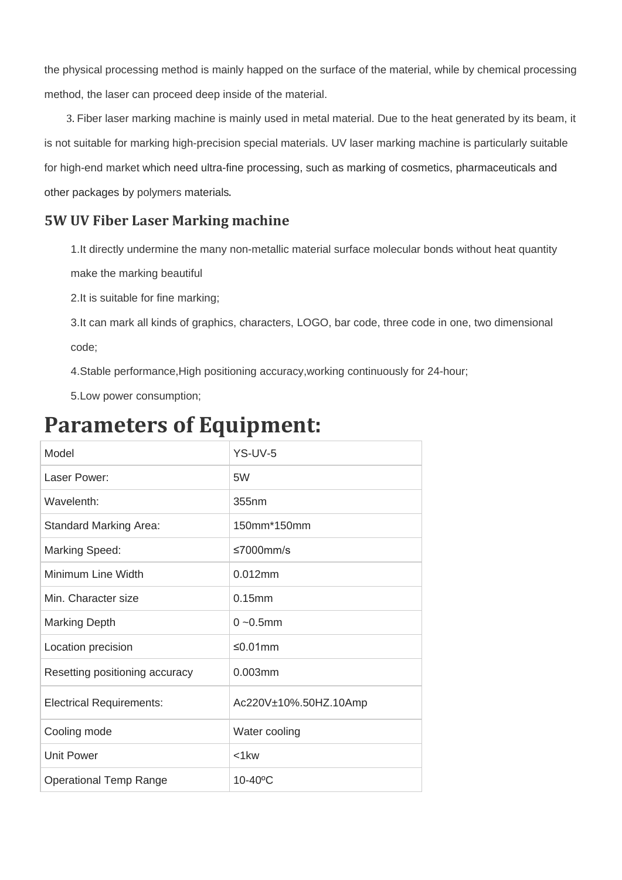the physical processing method is mainly happed on the surface of the material, while by chemical processing method, the laser can proceed deep inside of the material.

3. Fiber laser marking machine is mainly used in metal material. Due to the heat generated by its beam, it is not suitable for marking high-precision special materials. UV laser marking machine is particularly suitable for high-end market which need ultra-fine processing, such as marking of cosmetics, pharmaceuticals and other packages by polymers materials.

#### **5W UV Fiber Laser Marking machine**

1.It directly undermine the many non-metallic material surface molecular bonds without heat quantity

make the marking beautiful

2.It is suitable for fine marking;

3.It can mark all kinds of graphics, characters, LOGO, bar code, three code in one, two dimensional code;

4.Stable performance,High positioning accuracy,working continuously for 24-hour;

5.Low power consumption;

## **Parameters of Equipment:**

| Model                           | YS-UV-5                |
|---------------------------------|------------------------|
| Laser Power:                    | 5W                     |
| Wavelenth:                      | 355nm                  |
| <b>Standard Marking Area:</b>   | 150mm*150mm            |
| Marking Speed:                  | $\leq 7000$ mm/s       |
| Minimum Line Width              | $0.012$ mm             |
| Min. Character size             | $0.15$ mm              |
| <b>Marking Depth</b>            | $0 - 0.5$ mm           |
| Location precision              | $\leq 0.01$ mm         |
| Resetting positioning accuracy  | $0.003$ mm             |
| <b>Electrical Requirements:</b> | Ac220V±10%.50HZ.10Amp  |
| Cooling mode                    | Water cooling          |
| <b>Unit Power</b>               | $<$ 1 $kw$             |
| <b>Operational Temp Range</b>   | $10-40$ <sup>o</sup> C |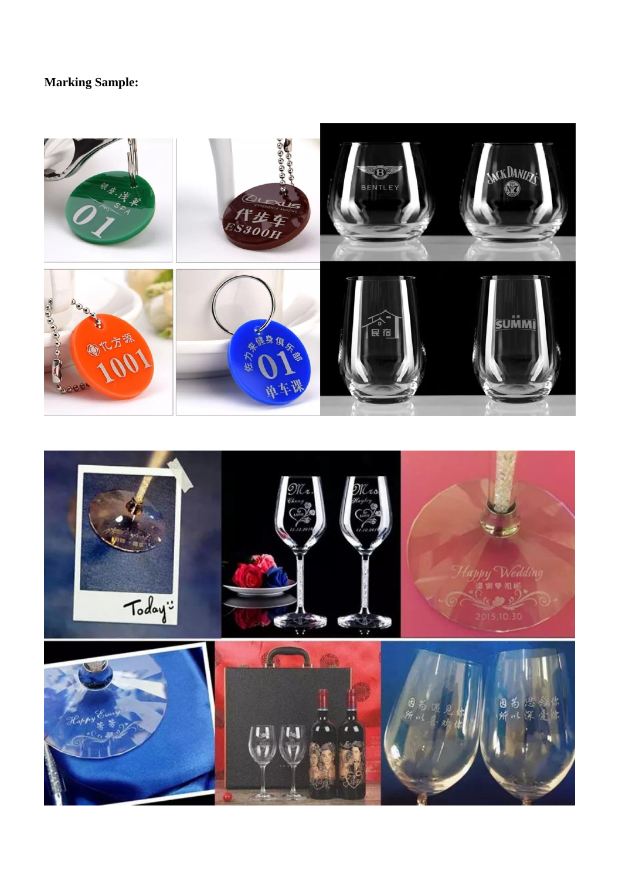### **Marking Sample:**